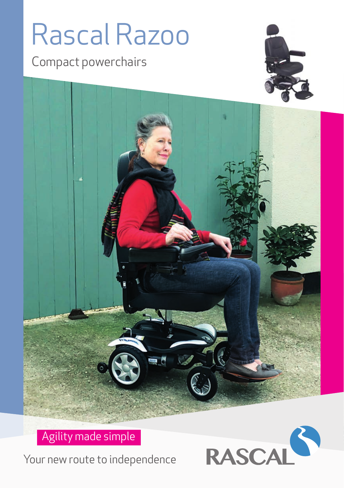# Rascal Razoo

Compact powerchairs





Agility made simple

Your new route to independence